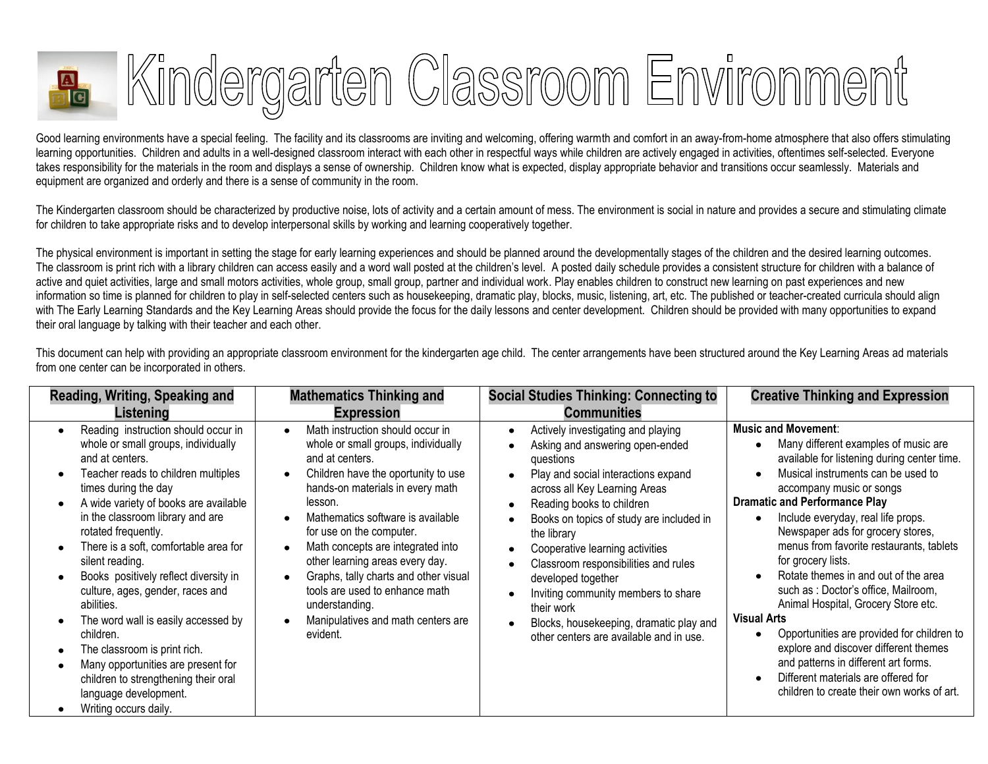

Good learning environments have a special feeling. The facility and its classrooms are inviting and welcoming, offering warmth and comfort in an away-from-home atmosphere that also offers stimulating learning opportunities. Children and adults in a well-designed classroom interact with each other in respectful ways while children are actively engaged in activities, oftentimes self-selected. Everyone takes responsibility for the materials in the room and displays a sense of ownership. Children know what is expected, display appropriate behavior and transitions occur seamlessly. Materials and equipment are organized and orderly and there is a sense of community in the room.

The Kindergarten classroom should be characterized by productive noise, lots of activity and a certain amount of mess. The environment is social in nature and provides a secure and stimulating climate for children to take appropriate risks and to develop interpersonal skills by working and learning cooperatively together.

The physical environment is important in setting the stage for early learning experiences and should be planned around the developmentally stages of the children and the desired learning outcomes. The classroom is print rich with a library children can access easily and a word wall posted at the children's level. A posted daily schedule provides a consistent structure for children with a balance of active and quiet activities, large and small motors activities, whole group, small group, partner and individual work. Play enables children to construct new learning on past experiences and new information so time is planned for children to play in self-selected centers such as housekeeping, dramatic play, blocks, music, listening, art, etc. The published or teacher-created curricula should align with The Early Learning Standards and the Key Learning Areas should provide the focus for the daily lessons and center development. Children should be provided with many opportunities to expand their oral language by talking with their teacher and each other.

| Reading, Writing, Speaking and                                                                                                                                                                                                                                                                                                                                                                                                                                                                                                                                                                                                              | <b>Mathematics Thinking and</b>                                                                                                                                                                                                                                                                                                                                                                                                                                          | <b>Social Studies Thinking: Connecting to</b>                                                                                                                                                                                                                                                                                                                                                                                                                                                  | <b>Creative Thinking and Expression</b>                                                                                                                                                                                                                                                                                                                                                                                                                                                                                                                                                                                                                                                                                                                                          |
|---------------------------------------------------------------------------------------------------------------------------------------------------------------------------------------------------------------------------------------------------------------------------------------------------------------------------------------------------------------------------------------------------------------------------------------------------------------------------------------------------------------------------------------------------------------------------------------------------------------------------------------------|--------------------------------------------------------------------------------------------------------------------------------------------------------------------------------------------------------------------------------------------------------------------------------------------------------------------------------------------------------------------------------------------------------------------------------------------------------------------------|------------------------------------------------------------------------------------------------------------------------------------------------------------------------------------------------------------------------------------------------------------------------------------------------------------------------------------------------------------------------------------------------------------------------------------------------------------------------------------------------|----------------------------------------------------------------------------------------------------------------------------------------------------------------------------------------------------------------------------------------------------------------------------------------------------------------------------------------------------------------------------------------------------------------------------------------------------------------------------------------------------------------------------------------------------------------------------------------------------------------------------------------------------------------------------------------------------------------------------------------------------------------------------------|
| Listening                                                                                                                                                                                                                                                                                                                                                                                                                                                                                                                                                                                                                                   | <b>Expression</b>                                                                                                                                                                                                                                                                                                                                                                                                                                                        | <b>Communities</b>                                                                                                                                                                                                                                                                                                                                                                                                                                                                             |                                                                                                                                                                                                                                                                                                                                                                                                                                                                                                                                                                                                                                                                                                                                                                                  |
| Reading instruction should occur in<br>whole or small groups, individually<br>and at centers.<br>Teacher reads to children multiples<br>times during the day<br>A wide variety of books are available<br>in the classroom library and are<br>rotated frequently.<br>There is a soft, comfortable area for<br>silent reading.<br>Books positively reflect diversity in<br>culture, ages, gender, races and<br>abilities.<br>The word wall is easily accessed by<br>children.<br>The classroom is print rich.<br>Many opportunities are present for<br>children to strengthening their oral<br>language development.<br>Writing occurs daily. | Math instruction should occur in<br>whole or small groups, individually<br>and at centers.<br>Children have the oportunity to use<br>hands-on materials in every math<br>lesson.<br>Mathematics software is available<br>for use on the computer.<br>Math concepts are integrated into<br>other learning areas every day.<br>Graphs, tally charts and other visual<br>tools are used to enhance math<br>understanding.<br>Manipulatives and math centers are<br>evident. | Actively investigating and playing<br>Asking and answering open-ended<br>questions<br>Play and social interactions expand<br>across all Key Learning Areas<br>Reading books to children<br>Books on topics of study are included in<br>the library<br>Cooperative learning activities<br>Classroom responsibilities and rules<br>developed together<br>Inviting community members to share<br>their work<br>Blocks, housekeeping, dramatic play and<br>other centers are available and in use. | <b>Music and Movement:</b><br>Many different examples of music are<br>available for listening during center time.<br>Musical instruments can be used to<br>$\bullet$<br>accompany music or songs<br><b>Dramatic and Performance Play</b><br>Include everyday, real life props.<br>Newspaper ads for grocery stores,<br>menus from favorite restaurants, tablets<br>for grocery lists.<br>Rotate themes in and out of the area<br>$\bullet$<br>such as : Doctor's office, Mailroom,<br>Animal Hospital, Grocery Store etc.<br><b>Visual Arts</b><br>Opportunities are provided for children to<br>explore and discover different themes<br>and patterns in different art forms.<br>Different materials are offered for<br>$\bullet$<br>children to create their own works of art. |

This document can help with providing an appropriate classroom environment for the kindergarten age child. The center arrangements have been structured around the Key Learning Areas ad materials from one center can be incorporated in others.